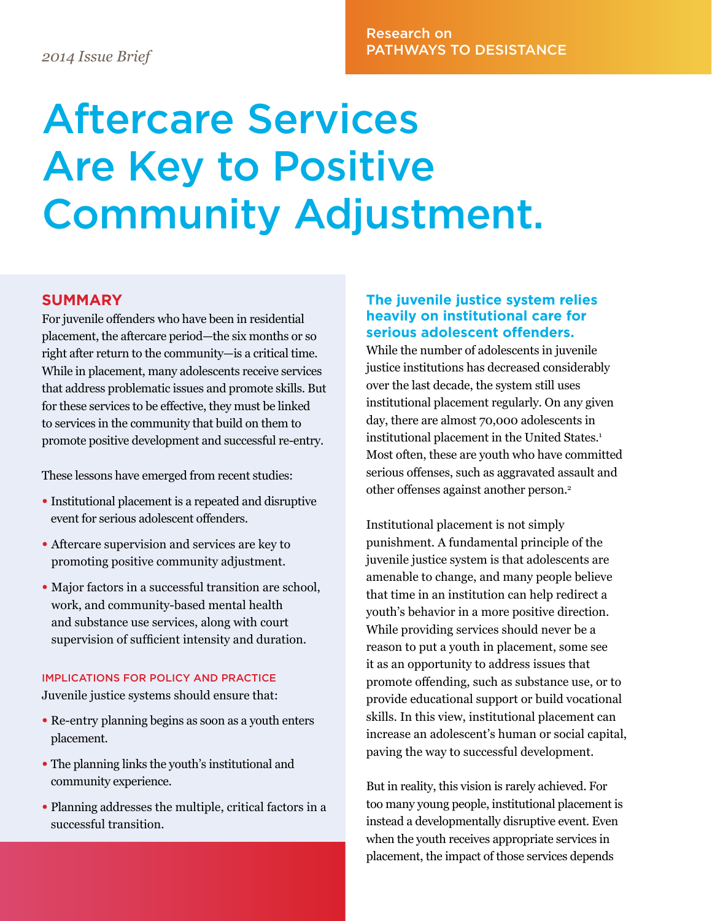## Research on PATHWAYS TO DESISTANCE *2014 Issue Brief*

# Aftercare Services Are Key to Positive Community Adjustment.

#### **SUMMARY**

For juvenile offenders who have been in residential placement, the aftercare period—the six months or so right after return to the community—is a critical time. While in placement, many adolescents receive services that address problematic issues and promote skills. But for these services to be effective, they must be linked to services in the community that build on them to promote positive development and successful re-entry.

These lessons have emerged from recent studies:

- Institutional placement is a repeated and disruptive event for serious adolescent offenders.
- Aftercare supervision and services are key to promoting positive community adjustment.
- Major factors in a successful transition are school, work, and community-based mental health and substance use services, along with court supervision of sufficient intensity and duration.

#### IMPLICATIONS FOR POLICY AND PRACTICE Juvenile justice systems should ensure that:

- Re-entry planning begins as soon as a youth enters placement.
- The planning links the youth's institutional and community experience.
- Planning addresses the multiple, critical factors in a successful transition.

#### **The juvenile justice system relies heavily on institutional care for serious adolescent offenders.**

While the number of adolescents in juvenile justice institutions has decreased considerably over the last decade, the system still uses institutional placement regularly. On any given day, there are almost 70,000 adolescents in institutional placement in the United States.<sup>1</sup> Most often, these are youth who have committed serious offenses, such as aggravated assault and other offenses against another person.2

Institutional placement is not simply punishment. A fundamental principle of the juvenile justice system is that adolescents are amenable to change, and many people believe that time in an institution can help redirect a youth's behavior in a more positive direction. While providing services should never be a reason to put a youth in placement, some see it as an opportunity to address issues that promote offending, such as substance use, or to provide educational support or build vocational skills. In this view, institutional placement can increase an adolescent's human or social capital, paving the way to successful development.

But in reality, this vision is rarely achieved. For too many young people, institutional placement is instead a developmentally disruptive event. Even when the youth receives appropriate services in placement, the impact of those services depends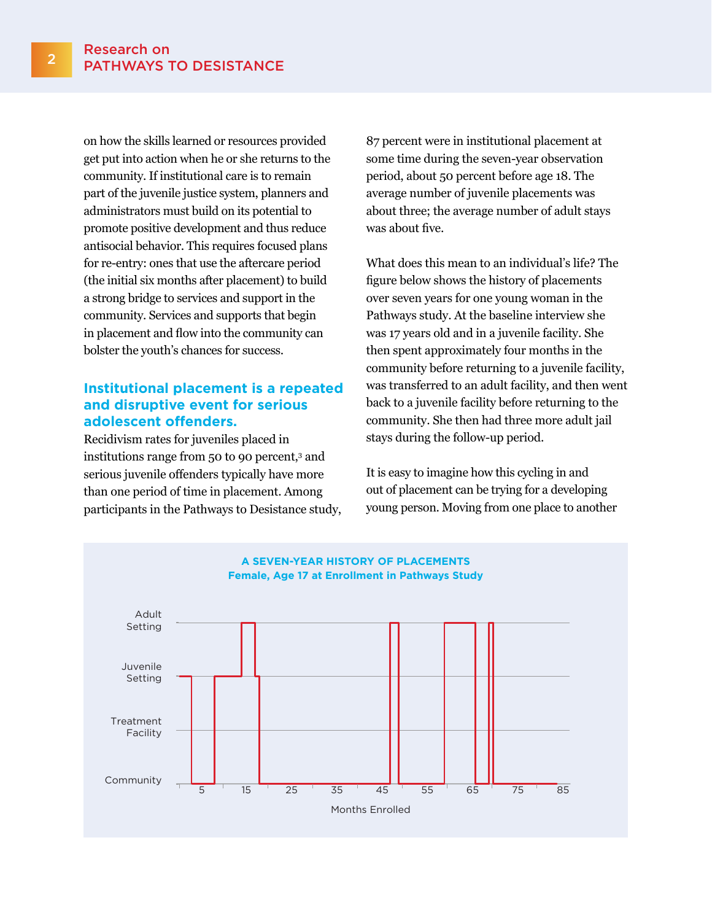on how the skills learned or resources provided get put into action when he or she returns to the community. If institutional care is to remain part of the juvenile justice system, planners and administrators must build on its potential to promote positive development and thus reduce antisocial behavior. This requires focused plans for re-entry: ones that use the aftercare period (the initial six months after placement) to build a strong bridge to services and support in the community. Services and supports that begin in placement and flow into the community can bolster the youth's chances for success.

#### **Institutional placement is a repeated and disruptive event for serious adolescent offenders.**

Recidivism rates for juveniles placed in institutions range from 50 to 90 percent,3 and serious juvenile offenders typically have more than one period of time in placement. Among participants in the Pathways to Desistance study, 87 percent were in institutional placement at some time during the seven-year observation period, about 50 percent before age 18. The average number of juvenile placements was about three; the average number of adult stays was about five.

What does this mean to an individual's life? The figure below shows the history of placements over seven years for one young woman in the Pathways study. At the baseline interview she was 17 years old and in a juvenile facility. She then spent approximately four months in the community before returning to a juvenile facility, was transferred to an adult facility, and then went back to a juvenile facility before returning to the community. She then had three more adult jail stays during the follow-up period.

It is easy to imagine how this cycling in and out of placement can be trying for a developing young person. Moving from one place to another

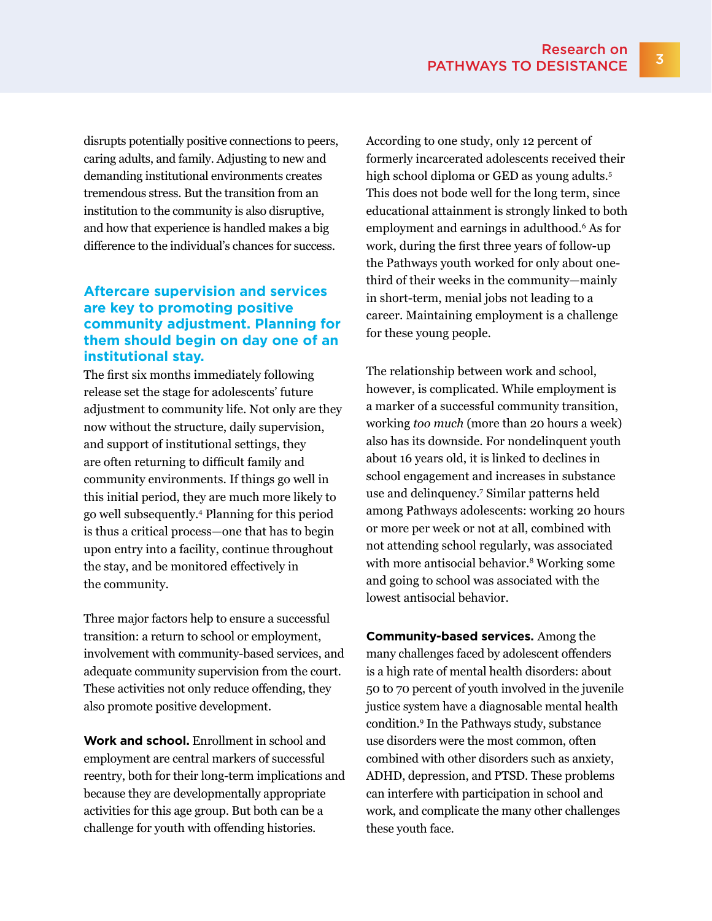disrupts potentially positive connections to peers, caring adults, and family. Adjusting to new and demanding institutional environments creates tremendous stress. But the transition from an institution to the community is also disruptive, and how that experience is handled makes a big difference to the individual's chances for success.

#### **Aftercare supervision and services are key to promoting positive community adjustment. Planning for them should begin on day one of an institutional stay.**

The first six months immediately following release set the stage for adolescents' future adjustment to community life. Not only are they now without the structure, daily supervision, and support of institutional settings, they are often returning to difficult family and community environments. If things go well in this initial period, they are much more likely to go well subsequently.4 Planning for this period is thus a critical process—one that has to begin upon entry into a facility, continue throughout the stay, and be monitored effectively in the community.

Three major factors help to ensure a successful transition: a return to school or employment, involvement with community-based services, and adequate community supervision from the court. These activities not only reduce offending, they also promote positive development.

**Work and school.** Enrollment in school and employment are central markers of successful reentry, both for their long-term implications and because they are developmentally appropriate activities for this age group. But both can be a challenge for youth with offending histories.

According to one study, only 12 percent of formerly incarcerated adolescents received their high school diploma or GED as young adults.<sup>5</sup> This does not bode well for the long term, since educational attainment is strongly linked to both employment and earnings in adulthood.6 As for work, during the first three years of follow-up the Pathways youth worked for only about onethird of their weeks in the community—mainly in short-term, menial jobs not leading to a career. Maintaining employment is a challenge for these young people.

The relationship between work and school, however, is complicated. While employment is a marker of a successful community transition, working *too much* (more than 20 hours a week) also has its downside. For nondelinquent youth about 16 years old, it is linked to declines in school engagement and increases in substance use and delinquency.7 Similar patterns held among Pathways adolescents: working 20 hours or more per week or not at all, combined with not attending school regularly, was associated with more antisocial behavior.<sup>8</sup> Working some and going to school was associated with the lowest antisocial behavior.

**Community-based services.** Among the many challenges faced by adolescent offenders is a high rate of mental health disorders: about 50 to 70 percent of youth involved in the juvenile justice system have a diagnosable mental health condition.9 In the Pathways study, substance use disorders were the most common, often combined with other disorders such as anxiety, ADHD, depression, and PTSD. These problems can interfere with participation in school and work, and complicate the many other challenges these youth face.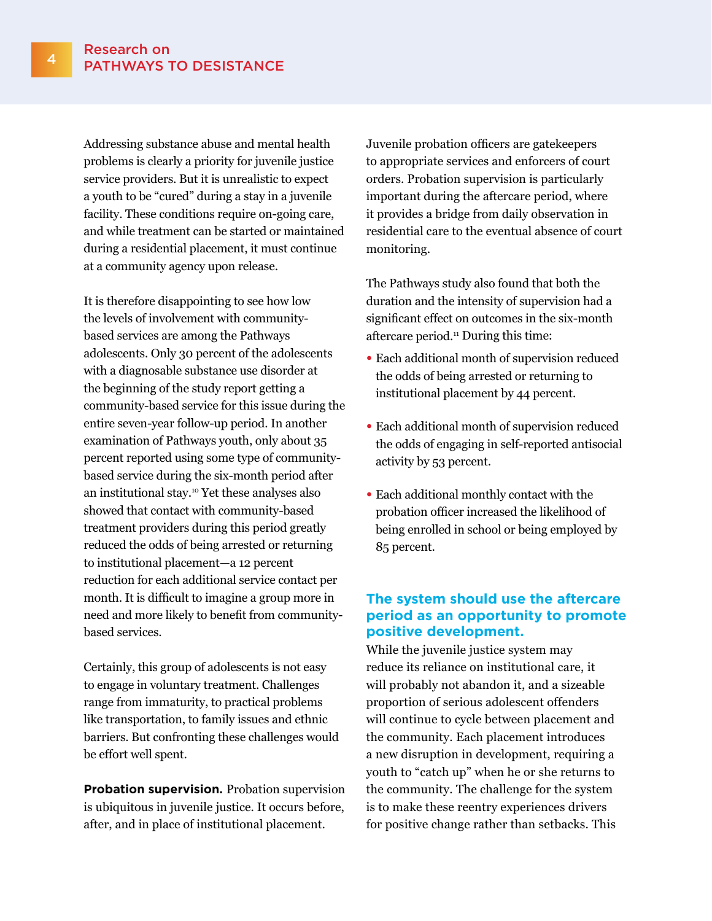Addressing substance abuse and mental health problems is clearly a priority for juvenile justice service providers. But it is unrealistic to expect a youth to be "cured" during a stay in a juvenile facility. These conditions require on-going care, and while treatment can be started or maintained during a residential placement, it must continue at a community agency upon release.

It is therefore disappointing to see how low the levels of involvement with communitybased services are among the Pathways adolescents. Only 30 percent of the adolescents with a diagnosable substance use disorder at the beginning of the study report getting a community-based service for this issue during the entire seven-year follow-up period. In another examination of Pathways youth, only about 35 percent reported using some type of communitybased service during the six-month period after an institutional stay.10 Yet these analyses also showed that contact with community-based treatment providers during this period greatly reduced the odds of being arrested or returning to institutional placement—a 12 percent reduction for each additional service contact per month. It is difficult to imagine a group more in need and more likely to benefit from communitybased services.

Certainly, this group of adolescents is not easy to engage in voluntary treatment. Challenges range from immaturity, to practical problems like transportation, to family issues and ethnic barriers. But confronting these challenges would be effort well spent.

**Probation supervision.** Probation supervision is ubiquitous in juvenile justice. It occurs before, after, and in place of institutional placement.

Juvenile probation officers are gatekeepers to appropriate services and enforcers of court orders. Probation supervision is particularly important during the aftercare period, where it provides a bridge from daily observation in residential care to the eventual absence of court monitoring.

The Pathways study also found that both the duration and the intensity of supervision had a significant effect on outcomes in the six-month aftercare period.11 During this time:

- Each additional month of supervision reduced the odds of being arrested or returning to institutional placement by 44 percent.
- Each additional month of supervision reduced the odds of engaging in self-reported antisocial activity by 53 percent.
- Each additional monthly contact with the probation officer increased the likelihood of being enrolled in school or being employed by 85 percent.

#### **The system should use the aftercare period as an opportunity to promote positive development.**

While the juvenile justice system may reduce its reliance on institutional care, it will probably not abandon it, and a sizeable proportion of serious adolescent offenders will continue to cycle between placement and the community. Each placement introduces a new disruption in development, requiring a youth to "catch up" when he or she returns to the community. The challenge for the system is to make these reentry experiences drivers for positive change rather than setbacks. This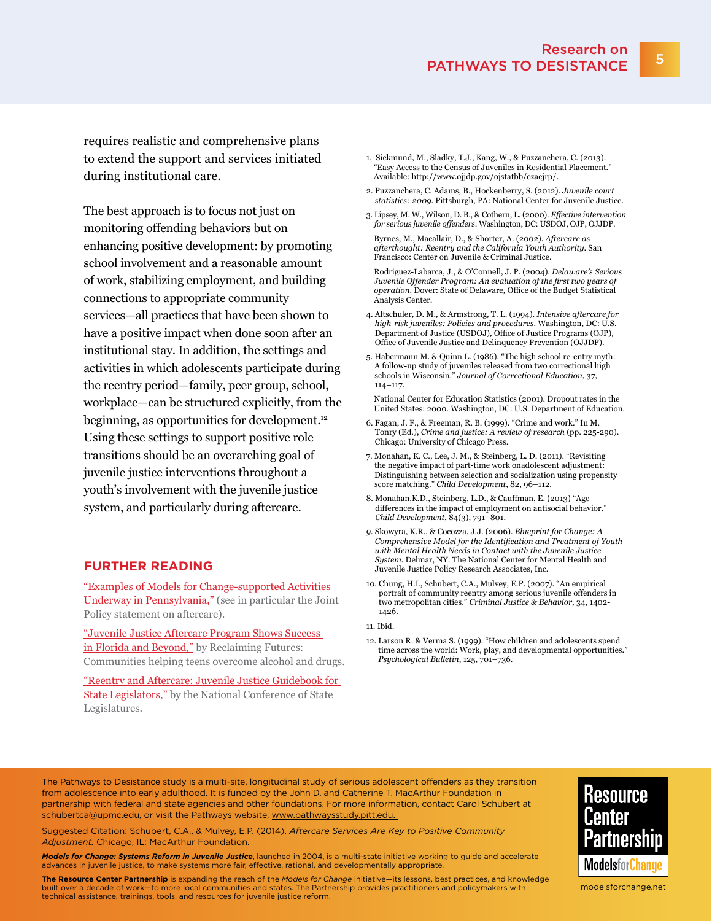requires realistic and comprehensive plans to extend the support and services initiated during institutional care.

The best approach is to focus not just on monitoring offending behaviors but on enhancing positive development: by promoting school involvement and a reasonable amount of work, stabilizing employment, and building connections to appropriate community services—all practices that have been shown to have a positive impact when done soon after an institutional stay. In addition, the settings and activities in which adolescents participate during the reentry period—family, peer group, school, workplace—can be structured explicitly, from the beginning, as opportunities for development.12 Using these settings to support positive role transitions should be an overarching goal of juvenile justice interventions throughout a youth's involvement with the juvenile justice system, and particularly during aftercare.

#### **FURTHER READING**

["Examples of Models for Change-supported Activities](http://www.modelsforchange.net/about/States-for-change/Pennsylvania/Work-highlights0.html)  [Underway in Pennsylvania,"](http://www.modelsforchange.net/about/States-for-change/Pennsylvania/Work-highlights0.html) (see in particular the Joint Policy statement on aftercare).

["Juvenile Justice Aftercare Program Shows Success](http://reclaimingfutures.org/aftercare-program)  [in Florida and Beyond,"](http://reclaimingfutures.org/aftercare-program) by Reclaiming Futures: Communities helping teens overcome alcohol and drugs.

["Reentry and Aftercare: Juvenile Justice Guidebook for](http://www.ncsl.org/documents/cj/jjguidebook-reentry.pdf)  [State Legislators,"](http://www.ncsl.org/documents/cj/jjguidebook-reentry.pdf) by the National Conference of State Legislatures.

- 1. Sickmund, M., Sladky, T.J., Kang, W., & Puzzanchera, C. (2013). "Easy Access to the Census of Juveniles in Residential Placement." Available:<http://www.ojjdp.gov/ojstatbb/ezacjrp>/.
- 2. Puzzanchera, C. Adams, B., Hockenberry, S. (2012). *Juvenile court statistics: 2009*. Pittsburgh, PA: National Center for Juvenile Justice.
- 3. Lipsey, M. W., Wilson, D. B., & Cothern, L. (2000). *Effective intervention for serious juvenile offenders*. Washington, DC: USDOJ, OJP, OJJDP.

 Byrnes, M., Macallair, D., & Shorter, A. (2002). *Aftercare as afterthought: Reentry and the California Youth Authority*. San Francisco: Center on Juvenile & Criminal Justice.

 Rodriguez-Labarca, J., & O'Connell, J. P. (2004). *Delaware's Serious Juvenile Offender Program: An evaluation of the first two years of operation*. Dover: State of Delaware, Office of the Budget Statistical Analysis Center.

- 4. Altschuler, D. M., & Armstrong, T. L. (1994). *Intensive aftercare for high-risk juveniles: Policies and procedures*. Washington, DC: U.S. Department of Justice (USDOJ), Office of Justice Programs (OJP), Office of Juvenile Justice and Delinquency Prevention (OJJDP).
- 5. Habermann M. & Quinn L. (1986). "The high school re-entry myth: A follow-up study of juveniles released from two correctional high schools in Wisconsin." *Journal of Correctional Education*, 37, 114–117.
- National Center for Education Statistics (2001). Dropout rates in the United States: 2000. Washington, DC: U.S. Department of Education.
- 6. Fagan, J. F., & Freeman, R. B. (1999). "Crime and work." In M. Tonry (Ed.), *Crime and justice: A review of research* (pp. 225-290). Chicago: University of Chicago Press.
- 7. Monahan, K. C., Lee, J. M., & Steinberg, L. D. (2011). "Revisiting the negative impact of part-time work onadolescent adjustment: Distinguishing between selection and socialization using propensity score matching." *Child Development*, 82, 96–112.
- 8. Monahan,K.D., Steinberg, L.D., & Cauffman, E. (2013) "Age differences in the impact of employment on antisocial behavior." *Child Development*, 84(3), 791–801.
- *9.* Skowyra, K.R., & Cocozza, J.J. (2006). *Blueprint for Change: A Comprehensive Model for the Identification and Treatment of Youth with Mental Health Needs in Contact with the Juvenile Justice System*. Delmar, NY: The National Center for Mental Health and Juvenile Justice Policy Research Associates, Inc.
- 10. Chung, H.L, Schubert, C.A., Mulvey, E.P. (2007). "An empirical portrait of community reentry among serious juvenile offenders in two metropolitan cities." *Criminal Justice & Behavior*, 34, 1402- 1426.

12. Larson R. & Verma S. (1999). "How children and adolescents spend time across the world: Work, play, and developmental opportunities." *Psychological Bulletin*, 125, 701–736.

The Pathways to Desistance study is a multi-site, longitudinal study of serious adolescent offenders as they transition from adolescence into early adulthood. It is funded by the John D. and Catherine T. MacArthur Foundation in partnership with federal and state agencies and other foundations. For more information, contact Carol Schubert at [schubertca@upmc.edu,](mailto:schubertca@upmc.edu) or visit the Pathways website, <www.pathwaysstudy.pitt.edu>.

Suggested Citation: Schubert, C.A., & Mulvey, E.P. (2014). *Aftercare Services Are Key to Positive Community Adjustment.* Chicago, IL: MacArthur Foundation.

*Models for Change: Systems Reform in Juvenile Justice*, launched in 2004, is a multi-state initiative working to guide and accelerate advances in juvenile justice, to make systems more fair, effective, rational, and developmentally appropriate

**The Resource Center Partnership** is expanding the reach of the *Models for Change* initiative—its lessons, best practices, and knowledge built over a decade of work—to more local communities and states. The Partnership provides practitioners and policymakers with technical assistance, trainings, tools, and resources for juvenile justice reform.



<modelsforchange.net>

<sup>11.</sup> Ibid.